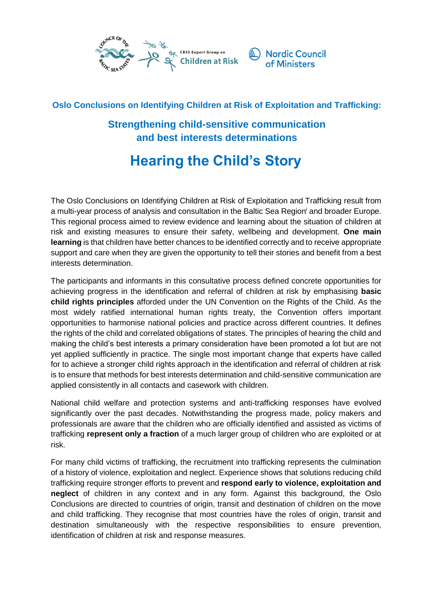

## **Oslo Conclusions on Identifying Children at Risk of Exploitation and Trafficking:**

## **Strengthening child-sensitive communication and best interests determinations**

# **Hearing the Child's Story**

The Oslo Conclusions on Identifying Children at Risk of Exploitation and Trafficking result from a multi-year process of analysis and consultation in the Baltic Sea Region and broader Europe. This regional process aimed to review evidence and learning about the situation of children at risk and existing measures to ensure their safety, wellbeing and development. **One main learning** is that children have better chances to be identified correctly and to receive appropriate support and care when they are given the opportunity to tell their stories and benefit from a best interests determination.

The participants and informants in this consultative process defined concrete opportunities for achieving progress in the identification and referral of children at risk by emphasising **basic child rights principles** afforded under the UN Convention on the Rights of the Child. As the most widely ratified international human rights treaty, the Convention offers important opportunities to harmonise national policies and practice across different countries. It defines the rights of the child and correlated obligations of states. The principles of hearing the child and making the child's best interests a primary consideration have been promoted a lot but are not yet applied sufficiently in practice. The single most important change that experts have called for to achieve a stronger child rights approach in the identification and referral of children at risk is to ensure that methods for best interests determination and child-sensitive communication are applied consistently in all contacts and casework with children.

National child welfare and protection systems and anti-trafficking responses have evolved significantly over the past decades. Notwithstanding the progress made, policy makers and professionals are aware that the children who are officially identified and assisted as victims of trafficking **represent only a fraction** of a much larger group of children who are exploited or at risk.

For many child victims of trafficking, the recruitment into trafficking represents the culmination of a history of violence, exploitation and neglect. Experience shows that solutions reducing child trafficking require stronger efforts to prevent and **respond early to violence, exploitation and neglect** of children in any context and in any form. Against this background, the Oslo Conclusions are directed to countries of origin, transit and destination of children on the move and child trafficking. They recognise that most countries have the roles of origin, transit and destination simultaneously with the respective responsibilities to ensure prevention, identification of children at risk and response measures.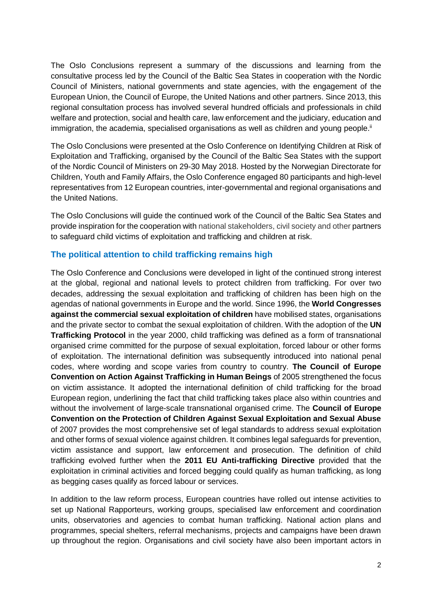The Oslo Conclusions represent a summary of the discussions and learning from the consultative process led by the Council of the Baltic Sea States in cooperation with the Nordic Council of Ministers, national governments and state agencies, with the engagement of the European Union, the Council of Europe, the United Nations and other partners. Since 2013, this regional consultation process has involved several hundred officials and professionals in child welfare and protection, social and health care, law enforcement and the judiciary, education and immigration, the academia, specialised organisations as well as children and young people.<sup>ii</sup>

The Oslo Conclusions were presented at the Oslo Conference on Identifying Children at Risk of Exploitation and Trafficking, organised by the Council of the Baltic Sea States with the support of the Nordic Council of Ministers on 29-30 May 2018. Hosted by the Norwegian Directorate for Children, Youth and Family Affairs, the Oslo Conference engaged 80 participants and high-level representatives from 12 European countries, inter-governmental and regional organisations and the United Nations.

The Oslo Conclusions will guide the continued work of the Council of the Baltic Sea States and provide inspiration for the cooperation with national stakeholders, civil society and other partners to safeguard child victims of exploitation and trafficking and children at risk.

#### **The political attention to child trafficking remains high**

The Oslo Conference and Conclusions were developed in light of the continued strong interest at the global, regional and national levels to protect children from trafficking. For over two decades, addressing the sexual exploitation and trafficking of children has been high on the agendas of national governments in Europe and the world. Since 1996, the **World Congresses against the commercial sexual exploitation of children** have mobilised states, organisations and the private sector to combat the sexual exploitation of children. With the adoption of the **UN Trafficking Protocol** in the year 2000, child trafficking was defined as a form of transnational organised crime committed for the purpose of sexual exploitation, forced labour or other forms of exploitation. The international definition was subsequently introduced into national penal codes, where wording and scope varies from country to country. **The Council of Europe Convention on Action Against Trafficking in Human Beings** of 2005 strengthened the focus on victim assistance. It adopted the international definition of child trafficking for the broad European region, underlining the fact that child trafficking takes place also within countries and without the involvement of large-scale transnational organised crime. The **Council of Europe Convention on the Protection of Children Against Sexual Exploitation and Sexual Abuse** of 2007 provides the most comprehensive set of legal standards to address sexual exploitation and other forms of sexual violence against children. It combines legal safeguards for prevention, victim assistance and support, law enforcement and prosecution. The definition of child trafficking evolved further when the **2011 EU Anti-trafficking Directive** provided that the exploitation in criminal activities and forced begging could qualify as human trafficking, as long as begging cases qualify as forced labour or services.

In addition to the law reform process, European countries have rolled out intense activities to set up National Rapporteurs, working groups, specialised law enforcement and coordination units, observatories and agencies to combat human trafficking. National action plans and programmes, special shelters, referral mechanisms, projects and campaigns have been drawn up throughout the region. Organisations and civil society have also been important actors in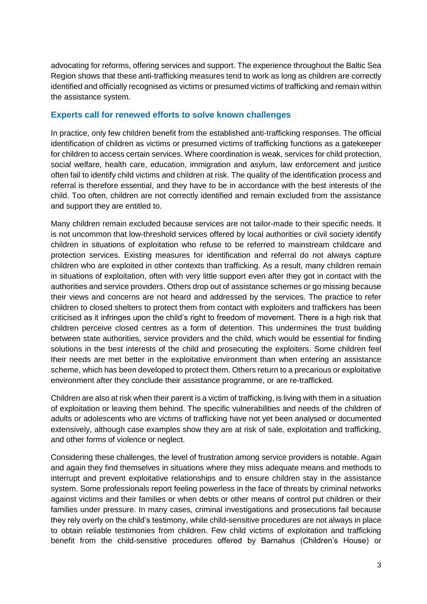advocating for reforms, offering services and support. The experience throughout the Baltic Sea Region shows that these anti-trafficking measures tend to work as long as children are correctly identified and officially recognised as victims or presumed victims of trafficking and remain within the assistance system.

#### **Experts call for renewed efforts to solve known challenges**

In practice, only few children benefit from the established anti-trafficking responses. The official identification of children as victims or presumed victims of trafficking functions as a gatekeeper for children to access certain services. Where coordination is weak, services for child protection, social welfare, health care, education, immigration and asylum, law enforcement and justice often fail to identify child victims and children at risk. The quality of the identification process and referral is therefore essential, and they have to be in accordance with the best interests of the child. Too often, children are not correctly identified and remain excluded from the assistance and support they are entitled to.

Many children remain excluded because services are not tailor-made to their specific needs. It is not uncommon that low-threshold services offered by local authorities or civil society identify children in situations of exploitation who refuse to be referred to mainstream childcare and protection services. Existing measures for identification and referral do not always capture children who are exploited in other contexts than trafficking. As a result, many children remain in situations of exploitation, often with very little support even after they got in contact with the authorities and service providers. Others drop out of assistance schemes or go missing because their views and concerns are not heard and addressed by the services. The practice to refer children to closed shelters to protect them from contact with exploiters and traffickers has been criticised as it infringes upon the child's right to freedom of movement. There is a high risk that children perceive closed centres as a form of detention. This undermines the trust building between state authorities, service providers and the child, which would be essential for finding solutions in the best interests of the child and prosecuting the exploiters. Some children feel their needs are met better in the exploitative environment than when entering an assistance scheme, which has been developed to protect them. Others return to a precarious or exploitative environment after they conclude their assistance programme, or are re-trafficked.

Children are also at risk when their parent is a victim of trafficking, is living with them in a situation of exploitation or leaving them behind. The specific vulnerabilities and needs of the children of adults or adolescents who are victims of trafficking have not yet been analysed or documented extensively, although case examples show they are at risk of sale, exploitation and trafficking, and other forms of violence or neglect.

Considering these challenges, the level of frustration among service providers is notable. Again and again they find themselves in situations where they miss adequate means and methods to interrupt and prevent exploitative relationships and to ensure children stay in the assistance system. Some professionals report feeling powerless in the face of threats by criminal networks against victims and their families or when debts or other means of control put children or their families under pressure. In many cases, criminal investigations and prosecutions fail because they rely overly on the child's testimony, while child-sensitive procedures are not always in place to obtain reliable testimonies from children. Few child victims of exploitation and trafficking benefit from the child-sensitive procedures offered by Barnahus (Children's House) or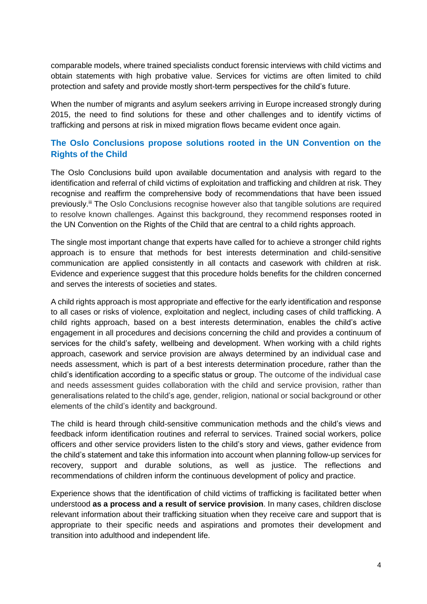comparable models, where trained specialists conduct forensic interviews with child victims and obtain statements with high probative value. Services for victims are often limited to child protection and safety and provide mostly short-term perspectives for the child's future.

When the number of migrants and asylum seekers arriving in Europe increased strongly during 2015, the need to find solutions for these and other challenges and to identify victims of trafficking and persons at risk in mixed migration flows became evident once again.

### **The Oslo Conclusions propose solutions rooted in the UN Convention on the Rights of the Child**

The Oslo Conclusions build upon available documentation and analysis with regard to the identification and referral of child victims of exploitation and trafficking and children at risk. They recognise and reaffirm the comprehensive body of recommendations that have been issued previously.<sup>iii</sup> The Oslo Conclusions recognise however also that tangible solutions are required to resolve known challenges. Against this background, they recommend responses rooted in the UN Convention on the Rights of the Child that are central to a child rights approach.

The single most important change that experts have called for to achieve a stronger child rights approach is to ensure that methods for best interests determination and child-sensitive communication are applied consistently in all contacts and casework with children at risk. Evidence and experience suggest that this procedure holds benefits for the children concerned and serves the interests of societies and states.

A child rights approach is most appropriate and effective for the early identification and response to all cases or risks of violence, exploitation and neglect, including cases of child trafficking. A child rights approach, based on a best interests determination, enables the child's active engagement in all procedures and decisions concerning the child and provides a continuum of services for the child's safety, wellbeing and development. When working with a child rights approach, casework and service provision are always determined by an individual case and needs assessment, which is part of a best interests determination procedure, rather than the child's identification according to a specific status or group. The outcome of the individual case and needs assessment guides collaboration with the child and service provision, rather than generalisations related to the child's age, gender, religion, national or social background or other elements of the child's identity and background.

The child is heard through child-sensitive communication methods and the child's views and feedback inform identification routines and referral to services. Trained social workers, police officers and other service providers listen to the child's story and views, gather evidence from the child's statement and take this information into account when planning follow-up services for recovery, support and durable solutions, as well as justice. The reflections and recommendations of children inform the continuous development of policy and practice.

Experience shows that the identification of child victims of trafficking is facilitated better when understood **as a process and a result of service provision**. In many cases, children disclose relevant information about their trafficking situation when they receive care and support that is appropriate to their specific needs and aspirations and promotes their development and transition into adulthood and independent life.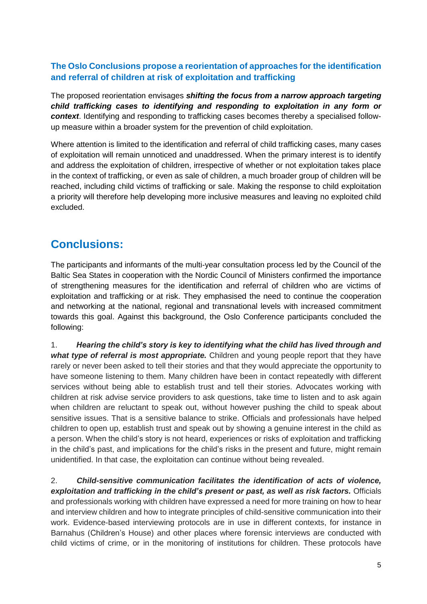## **The Oslo Conclusions propose a reorientation of approaches for the identification and referral of children at risk of exploitation and trafficking**

The proposed reorientation envisages *shifting the focus from a narrow approach targeting child trafficking cases to identifying and responding to exploitation in any form or context*. Identifying and responding to trafficking cases becomes thereby a specialised followup measure within a broader system for the prevention of child exploitation.

Where attention is limited to the identification and referral of child trafficking cases, many cases of exploitation will remain unnoticed and unaddressed. When the primary interest is to identify and address the exploitation of children, irrespective of whether or not exploitation takes place in the context of trafficking, or even as sale of children, a much broader group of children will be reached, including child victims of trafficking or sale. Making the response to child exploitation a priority will therefore help developing more inclusive measures and leaving no exploited child excluded.

# **Conclusions:**

The participants and informants of the multi-year consultation process led by the Council of the Baltic Sea States in cooperation with the Nordic Council of Ministers confirmed the importance of strengthening measures for the identification and referral of children who are victims of exploitation and trafficking or at risk. They emphasised the need to continue the cooperation and networking at the national, regional and transnational levels with increased commitment towards this goal. Against this background, the Oslo Conference participants concluded the following:

1. *Hearing the child's story is key to identifying what the child has lived through and what type of referral is most appropriate.* Children and young people report that they have rarely or never been asked to tell their stories and that they would appreciate the opportunity to have someone listening to them. Many children have been in contact repeatedly with different services without being able to establish trust and tell their stories. Advocates working with children at risk advise service providers to ask questions, take time to listen and to ask again when children are reluctant to speak out, without however pushing the child to speak about sensitive issues. That is a sensitive balance to strike. Officials and professionals have helped children to open up, establish trust and speak out by showing a genuine interest in the child as a person. When the child's story is not heard, experiences or risks of exploitation and trafficking in the child's past, and implications for the child's risks in the present and future, might remain unidentified. In that case, the exploitation can continue without being revealed.

2. *Child-sensitive communication facilitates the identification of acts of violence, exploitation and trafficking in the child's present or past, as well as risk factors.* Officials and professionals working with children have expressed a need for more training on how to hear and interview children and how to integrate principles of child-sensitive communication into their work. Evidence-based interviewing protocols are in use in different contexts, for instance in Barnahus (Children's House) and other places where forensic interviews are conducted with child victims of crime, or in the monitoring of institutions for children. These protocols have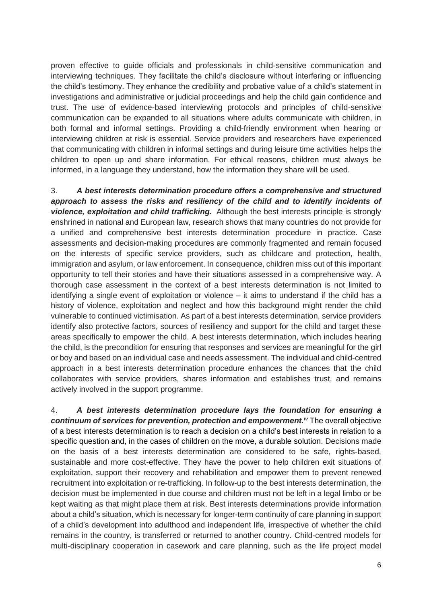proven effective to guide officials and professionals in child-sensitive communication and interviewing techniques. They facilitate the child's disclosure without interfering or influencing the child's testimony. They enhance the credibility and probative value of a child's statement in investigations and administrative or judicial proceedings and help the child gain confidence and trust. The use of evidence-based interviewing protocols and principles of child-sensitive communication can be expanded to all situations where adults communicate with children, in both formal and informal settings. Providing a child-friendly environment when hearing or interviewing children at risk is essential. Service providers and researchers have experienced that communicating with children in informal settings and during leisure time activities helps the children to open up and share information. For ethical reasons, children must always be informed, in a language they understand, how the information they share will be used.

3. *A best interests determination procedure offers a comprehensive and structured approach to assess the risks and resiliency of the child and to identify incidents of violence, exploitation and child trafficking.* Although the best interests principle is strongly enshrined in national and European law, research shows that many countries do not provide for a unified and comprehensive best interests determination procedure in practice. Case assessments and decision-making procedures are commonly fragmented and remain focused on the interests of specific service providers, such as childcare and protection, health, immigration and asylum, or law enforcement. In consequence, children miss out of this important opportunity to tell their stories and have their situations assessed in a comprehensive way. A thorough case assessment in the context of a best interests determination is not limited to identifying a single event of exploitation or violence – it aims to understand if the child has a history of violence, exploitation and neglect and how this background might render the child vulnerable to continued victimisation. As part of a best interests determination, service providers identify also protective factors, sources of resiliency and support for the child and target these areas specifically to empower the child. A best interests determination, which includes hearing the child, is the precondition for ensuring that responses and services are meaningful for the girl or boy and based on an individual case and needs assessment. The individual and child-centred approach in a best interests determination procedure enhances the chances that the child collaborates with service providers, shares information and establishes trust, and remains actively involved in the support programme.

4. *A best interests determination procedure lays the foundation for ensuring a continuum of services for prevention, protection and empowerment.iv* The overall objective of a best interests determination is to reach a decision on a child's best interests in relation to a specific question and, in the cases of children on the move, a durable solution. Decisions made on the basis of a best interests determination are considered to be safe, rights-based, sustainable and more cost-effective. They have the power to help children exit situations of exploitation, support their recovery and rehabilitation and empower them to prevent renewed recruitment into exploitation or re-trafficking. In follow-up to the best interests determination, the decision must be implemented in due course and children must not be left in a legal limbo or be kept waiting as that might place them at risk. Best interests determinations provide information about a child's situation, which is necessary for longer-term continuity of care planning in support of a child's development into adulthood and independent life, irrespective of whether the child remains in the country, is transferred or returned to another country. Child-centred models for multi-disciplinary cooperation in casework and care planning, such as the life project model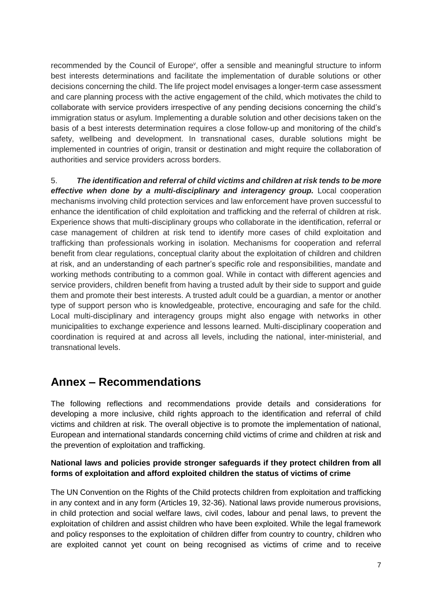recommended by the Council of Europe<sup>v</sup>, offer a sensible and meaningful structure to inform best interests determinations and facilitate the implementation of durable solutions or other decisions concerning the child. The life project model envisages a longer-term case assessment and care planning process with the active engagement of the child, which motivates the child to collaborate with service providers irrespective of any pending decisions concerning the child's immigration status or asylum. Implementing a durable solution and other decisions taken on the basis of a best interests determination requires a close follow-up and monitoring of the child's safety, wellbeing and development. In transnational cases, durable solutions might be implemented in countries of origin, transit or destination and might require the collaboration of authorities and service providers across borders.

5. *The identification and referral of child victims and children at risk tends to be more effective when done by a multi-disciplinary and interagency group.* Local cooperation mechanisms involving child protection services and law enforcement have proven successful to enhance the identification of child exploitation and trafficking and the referral of children at risk. Experience shows that multi-disciplinary groups who collaborate in the identification, referral or case management of children at risk tend to identify more cases of child exploitation and trafficking than professionals working in isolation. Mechanisms for cooperation and referral benefit from clear regulations, conceptual clarity about the exploitation of children and children at risk, and an understanding of each partner's specific role and responsibilities, mandate and working methods contributing to a common goal. While in contact with different agencies and service providers, children benefit from having a trusted adult by their side to support and guide them and promote their best interests. A trusted adult could be a guardian, a mentor or another type of support person who is knowledgeable, protective, encouraging and safe for the child. Local multi-disciplinary and interagency groups might also engage with networks in other municipalities to exchange experience and lessons learned. Multi-disciplinary cooperation and coordination is required at and across all levels, including the national, inter-ministerial, and transnational levels.

# **Annex – Recommendations**

The following reflections and recommendations provide details and considerations for developing a more inclusive, child rights approach to the identification and referral of child victims and children at risk. The overall objective is to promote the implementation of national, European and international standards concerning child victims of crime and children at risk and the prevention of exploitation and trafficking.

#### **National laws and policies provide stronger safeguards if they protect children from all forms of exploitation and afford exploited children the status of victims of crime**

The UN Convention on the Rights of the Child protects children from exploitation and trafficking in any context and in any form (Articles 19, 32-36). National laws provide numerous provisions, in child protection and social welfare laws, civil codes, labour and penal laws, to prevent the exploitation of children and assist children who have been exploited. While the legal framework and policy responses to the exploitation of children differ from country to country, children who are exploited cannot yet count on being recognised as victims of crime and to receive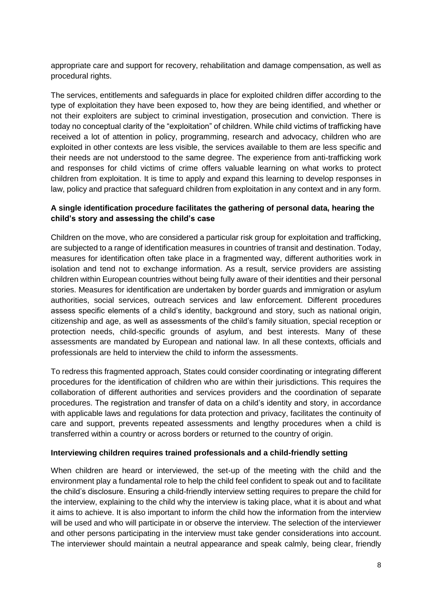appropriate care and support for recovery, rehabilitation and damage compensation, as well as procedural rights.

The services, entitlements and safeguards in place for exploited children differ according to the type of exploitation they have been exposed to, how they are being identified, and whether or not their exploiters are subject to criminal investigation, prosecution and conviction. There is today no conceptual clarity of the "exploitation" of children. While child victims of trafficking have received a lot of attention in policy, programming, research and advocacy, children who are exploited in other contexts are less visible, the services available to them are less specific and their needs are not understood to the same degree. The experience from anti-trafficking work and responses for child victims of crime offers valuable learning on what works to protect children from exploitation. It is time to apply and expand this learning to develop responses in law, policy and practice that safeguard children from exploitation in any context and in any form.

#### **A single identification procedure facilitates the gathering of personal data, hearing the child's story and assessing the child's case**

Children on the move, who are considered a particular risk group for exploitation and trafficking, are subjected to a range of identification measures in countries of transit and destination. Today, measures for identification often take place in a fragmented way, different authorities work in isolation and tend not to exchange information. As a result, service providers are assisting children within European countries without being fully aware of their identities and their personal stories. Measures for identification are undertaken by border guards and immigration or asylum authorities, social services, outreach services and law enforcement. Different procedures assess specific elements of a child's identity, background and story, such as national origin, citizenship and age, as well as assessments of the child's family situation, special reception or protection needs, child-specific grounds of asylum, and best interests. Many of these assessments are mandated by European and national law. In all these contexts, officials and professionals are held to interview the child to inform the assessments.

To redress this fragmented approach, States could consider coordinating or integrating different procedures for the identification of children who are within their jurisdictions. This requires the collaboration of different authorities and services providers and the coordination of separate procedures. The registration and transfer of data on a child's identity and story, in accordance with applicable laws and regulations for data protection and privacy, facilitates the continuity of care and support, prevents repeated assessments and lengthy procedures when a child is transferred within a country or across borders or returned to the country of origin.

#### **Interviewing children requires trained professionals and a child-friendly setting**

When children are heard or interviewed, the set-up of the meeting with the child and the environment play a fundamental role to help the child feel confident to speak out and to facilitate the child's disclosure. Ensuring a child-friendly interview setting requires to prepare the child for the interview, explaining to the child why the interview is taking place, what it is about and what it aims to achieve. It is also important to inform the child how the information from the interview will be used and who will participate in or observe the interview. The selection of the interviewer and other persons participating in the interview must take gender considerations into account. The interviewer should maintain a neutral appearance and speak calmly, being clear, friendly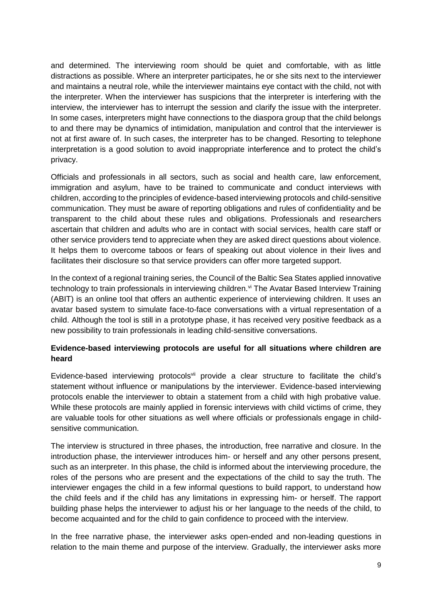and determined. The interviewing room should be quiet and comfortable, with as little distractions as possible. Where an interpreter participates, he or she sits next to the interviewer and maintains a neutral role, while the interviewer maintains eye contact with the child, not with the interpreter. When the interviewer has suspicions that the interpreter is interfering with the interview, the interviewer has to interrupt the session and clarify the issue with the interpreter. In some cases, interpreters might have connections to the diaspora group that the child belongs to and there may be dynamics of intimidation, manipulation and control that the interviewer is not at first aware of. In such cases, the interpreter has to be changed. Resorting to telephone interpretation is a good solution to avoid inappropriate interference and to protect the child's privacy.

Officials and professionals in all sectors, such as social and health care, law enforcement, immigration and asylum, have to be trained to communicate and conduct interviews with children, according to the principles of evidence-based interviewing protocols and child-sensitive communication. They must be aware of reporting obligations and rules of confidentiality and be transparent to the child about these rules and obligations. Professionals and researchers ascertain that children and adults who are in contact with social services, health care staff or other service providers tend to appreciate when they are asked direct questions about violence. It helps them to overcome taboos or fears of speaking out about violence in their lives and facilitates their disclosure so that service providers can offer more targeted support.

In the context of a regional training series, the Council of the Baltic Sea States applied innovative technology to train professionals in interviewing children.<sup>vi</sup> The Avatar Based Interview Training (ABIT) is an online tool that offers an authentic experience of interviewing children. It uses an avatar based system to simulate face-to-face conversations with a virtual representation of a child. Although the tool is still in a prototype phase, it has received very positive feedback as a new possibility to train professionals in leading child-sensitive conversations.

#### **Evidence-based interviewing protocols are useful for all situations where children are heard**

Evidence-based interviewing protocols<sup>vii</sup> provide a clear structure to facilitate the child's statement without influence or manipulations by the interviewer. Evidence-based interviewing protocols enable the interviewer to obtain a statement from a child with high probative value. While these protocols are mainly applied in forensic interviews with child victims of crime, they are valuable tools for other situations as well where officials or professionals engage in childsensitive communication.

The interview is structured in three phases, the introduction, free narrative and closure. In the introduction phase, the interviewer introduces him- or herself and any other persons present, such as an interpreter. In this phase, the child is informed about the interviewing procedure, the roles of the persons who are present and the expectations of the child to say the truth. The interviewer engages the child in a few informal questions to build rapport, to understand how the child feels and if the child has any limitations in expressing him- or herself. The rapport building phase helps the interviewer to adjust his or her language to the needs of the child, to become acquainted and for the child to gain confidence to proceed with the interview.

In the free narrative phase, the interviewer asks open-ended and non-leading questions in relation to the main theme and purpose of the interview. Gradually, the interviewer asks more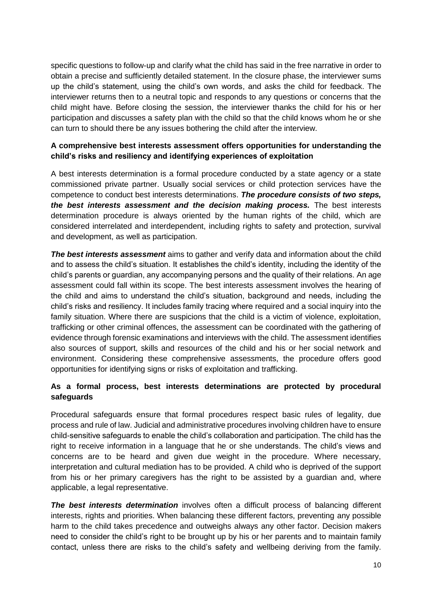specific questions to follow-up and clarify what the child has said in the free narrative in order to obtain a precise and sufficiently detailed statement. In the closure phase, the interviewer sums up the child's statement, using the child's own words, and asks the child for feedback. The interviewer returns then to a neutral topic and responds to any questions or concerns that the child might have. Before closing the session, the interviewer thanks the child for his or her participation and discusses a safety plan with the child so that the child knows whom he or she can turn to should there be any issues bothering the child after the interview.

#### **A comprehensive best interests assessment offers opportunities for understanding the child's risks and resiliency and identifying experiences of exploitation**

A best interests determination is a formal procedure conducted by a state agency or a state commissioned private partner. Usually social services or child protection services have the competence to conduct best interests determinations. *The procedure consists of two steps, the best interests assessment and the decision making process.* The best interests determination procedure is always oriented by the human rights of the child, which are considered interrelated and interdependent, including rights to safety and protection, survival and development, as well as participation.

*The best interests assessment* aims to gather and verify data and information about the child and to assess the child's situation. It establishes the child's identity, including the identity of the child's parents or guardian, any accompanying persons and the quality of their relations. An age assessment could fall within its scope. The best interests assessment involves the hearing of the child and aims to understand the child's situation, background and needs, including the child's risks and resiliency. It includes family tracing where required and a social inquiry into the family situation. Where there are suspicions that the child is a victim of violence, exploitation, trafficking or other criminal offences, the assessment can be coordinated with the gathering of evidence through forensic examinations and interviews with the child. The assessment identifies also sources of support, skills and resources of the child and his or her social network and environment. Considering these comprehensive assessments, the procedure offers good opportunities for identifying signs or risks of exploitation and trafficking.

#### **As a formal process, best interests determinations are protected by procedural safeguards**

Procedural safeguards ensure that formal procedures respect basic rules of legality, due process and rule of law. Judicial and administrative procedures involving children have to ensure child-sensitive safeguards to enable the child's collaboration and participation. The child has the right to receive information in a language that he or she understands. The child's views and concerns are to be heard and given due weight in the procedure. Where necessary, interpretation and cultural mediation has to be provided. A child who is deprived of the support from his or her primary caregivers has the right to be assisted by a guardian and, where applicable, a legal representative.

*The best interests determination* involves often a difficult process of balancing different interests, rights and priorities. When balancing these different factors, preventing any possible harm to the child takes precedence and outweighs always any other factor. Decision makers need to consider the child's right to be brought up by his or her parents and to maintain family contact, unless there are risks to the child's safety and wellbeing deriving from the family.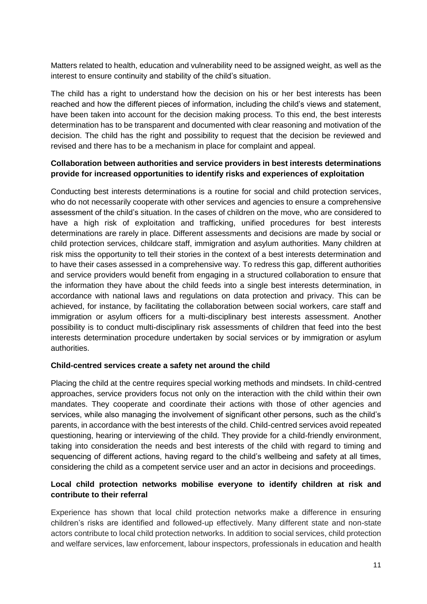Matters related to health, education and vulnerability need to be assigned weight, as well as the interest to ensure continuity and stability of the child's situation.

The child has a right to understand how the decision on his or her best interests has been reached and how the different pieces of information, including the child's views and statement, have been taken into account for the decision making process. To this end, the best interests determination has to be transparent and documented with clear reasoning and motivation of the decision. The child has the right and possibility to request that the decision be reviewed and revised and there has to be a mechanism in place for complaint and appeal.

#### **Collaboration between authorities and service providers in best interests determinations provide for increased opportunities to identify risks and experiences of exploitation**

Conducting best interests determinations is a routine for social and child protection services, who do not necessarily cooperate with other services and agencies to ensure a comprehensive assessment of the child's situation. In the cases of children on the move, who are considered to have a high risk of exploitation and trafficking, unified procedures for best interests determinations are rarely in place. Different assessments and decisions are made by social or child protection services, childcare staff, immigration and asylum authorities. Many children at risk miss the opportunity to tell their stories in the context of a best interests determination and to have their cases assessed in a comprehensive way. To redress this gap, different authorities and service providers would benefit from engaging in a structured collaboration to ensure that the information they have about the child feeds into a single best interests determination, in accordance with national laws and regulations on data protection and privacy. This can be achieved, for instance, by facilitating the collaboration between social workers, care staff and immigration or asylum officers for a multi-disciplinary best interests assessment. Another possibility is to conduct multi-disciplinary risk assessments of children that feed into the best interests determination procedure undertaken by social services or by immigration or asylum authorities.

#### **Child-centred services create a safety net around the child**

Placing the child at the centre requires special working methods and mindsets. In child-centred approaches, service providers focus not only on the interaction with the child within their own mandates. They cooperate and coordinate their actions with those of other agencies and services, while also managing the involvement of significant other persons, such as the child's parents, in accordance with the best interests of the child. Child-centred services avoid repeated questioning, hearing or interviewing of the child. They provide for a child-friendly environment, taking into consideration the needs and best interests of the child with regard to timing and sequencing of different actions, having regard to the child's wellbeing and safety at all times, considering the child as a competent service user and an actor in decisions and proceedings.

#### **Local child protection networks mobilise everyone to identify children at risk and contribute to their referral**

Experience has shown that local child protection networks make a difference in ensuring children's risks are identified and followed-up effectively. Many different state and non-state actors contribute to local child protection networks. In addition to social services, child protection and welfare services, law enforcement, labour inspectors, professionals in education and health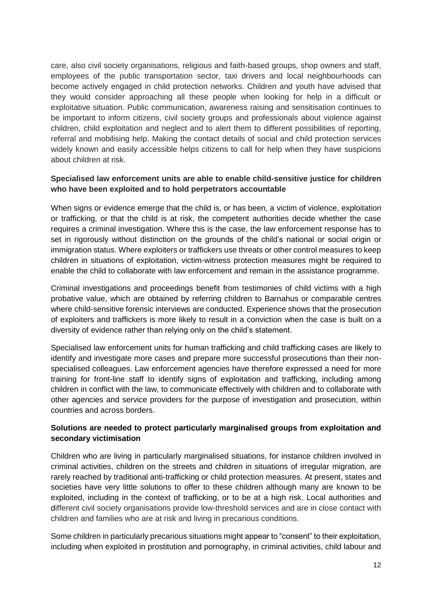care, also civil society organisations, religious and faith-based groups, shop owners and staff, employees of the public transportation sector, taxi drivers and local neighbourhoods can become actively engaged in child protection networks. Children and youth have advised that they would consider approaching all these people when looking for help in a difficult or exploitative situation. Public communication, awareness raising and sensitisation continues to be important to inform citizens, civil society groups and professionals about violence against children, child exploitation and neglect and to alert them to different possibilities of reporting, referral and mobilising help. Making the contact details of social and child protection services widely known and easily accessible helps citizens to call for help when they have suspicions about children at risk.

#### **Specialised law enforcement units are able to enable child-sensitive justice for children who have been exploited and to hold perpetrators accountable**

When signs or evidence emerge that the child is, or has been, a victim of violence, exploitation or trafficking, or that the child is at risk, the competent authorities decide whether the case requires a criminal investigation. Where this is the case, the law enforcement response has to set in rigorously without distinction on the grounds of the child's national or social origin or immigration status. Where exploiters or traffickers use threats or other control measures to keep children in situations of exploitation, victim-witness protection measures might be required to enable the child to collaborate with law enforcement and remain in the assistance programme.

Criminal investigations and proceedings benefit from testimonies of child victims with a high probative value, which are obtained by referring children to Barnahus or comparable centres where child-sensitive forensic interviews are conducted. Experience shows that the prosecution of exploiters and traffickers is more likely to result in a conviction when the case is built on a diversity of evidence rather than relying only on the child's statement.

Specialised law enforcement units for human trafficking and child trafficking cases are likely to identify and investigate more cases and prepare more successful prosecutions than their nonspecialised colleagues. Law enforcement agencies have therefore expressed a need for more training for front-line staff to identify signs of exploitation and trafficking, including among children in conflict with the law, to communicate effectively with children and to collaborate with other agencies and service providers for the purpose of investigation and prosecution, within countries and across borders.

#### **Solutions are needed to protect particularly marginalised groups from exploitation and secondary victimisation**

Children who are living in particularly marginalised situations, for instance children involved in criminal activities, children on the streets and children in situations of irregular migration, are rarely reached by traditional anti-trafficking or child protection measures. At present, states and societies have very little solutions to offer to these children although many are known to be exploited, including in the context of trafficking, or to be at a high risk. Local authorities and different civil society organisations provide low-threshold services and are in close contact with children and families who are at risk and living in precarious conditions.

Some children in particularly precarious situations might appear to "consent" to their exploitation, including when exploited in prostitution and pornography, in criminal activities, child labour and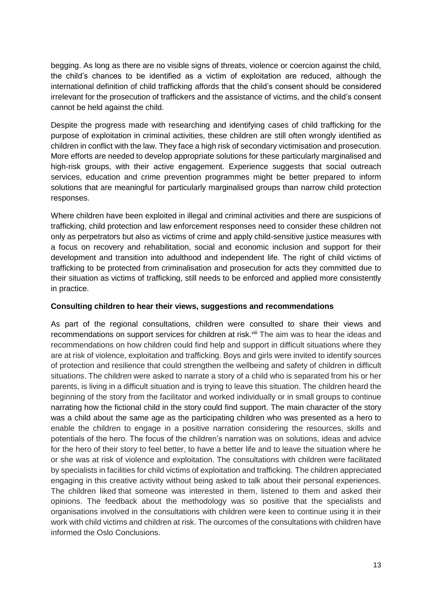begging. As long as there are no visible signs of threats, violence or coercion against the child, the child's chances to be identified as a victim of exploitation are reduced, although the international definition of child trafficking affords that the child's consent should be considered irrelevant for the prosecution of traffickers and the assistance of victims, and the child's consent cannot be held against the child.

Despite the progress made with researching and identifying cases of child trafficking for the purpose of exploitation in criminal activities, these children are still often wrongly identified as children in conflict with the law. They face a high risk of secondary victimisation and prosecution. More efforts are needed to develop appropriate solutions for these particularly marginalised and high-risk groups, with their active engagement. Experience suggests that social outreach services, education and crime prevention programmes might be better prepared to inform solutions that are meaningful for particularly marginalised groups than narrow child protection responses.

Where children have been exploited in illegal and criminal activities and there are suspicions of trafficking, child protection and law enforcement responses need to consider these children not only as perpetrators but also as victims of crime and apply child-sensitive justice measures with a focus on recovery and rehabilitation, social and economic inclusion and support for their development and transition into adulthood and independent life. The right of child victims of trafficking to be protected from criminalisation and prosecution for acts they committed due to their situation as victims of trafficking, still needs to be enforced and applied more consistently in practice.

#### **Consulting children to hear their views, suggestions and recommendations**

As part of the regional consultations, children were consulted to share their views and recommendations on support services for children at risk.<sup>viii</sup> The aim was to hear the ideas and recommendations on how children could find help and support in difficult situations where they are at risk of violence, exploitation and trafficking. Boys and girls were invited to identify sources of protection and resilience that could strengthen the wellbeing and safety of children in difficult situations. The children were asked to narrate a story of a child who is separated from his or her parents, is living in a difficult situation and is trying to leave this situation. The children heard the beginning of the story from the facilitator and worked individually or in small groups to continue narrating how the fictional child in the story could find support. The main character of the story was a child about the same age as the participating children who was presented as a hero to enable the children to engage in a positive narration considering the resources, skills and potentials of the hero. The focus of the children's narration was on solutions, ideas and advice for the hero of their story to feel better, to have a better life and to leave the situation where he or she was at risk of violence and exploitation. The consultations with children were facilitated by specialists in facilities for child victims of exploitation and trafficking. The children appreciated engaging in this creative activity without being asked to talk about their personal experiences. The children liked that someone was interested in them, listened to them and asked their opinions. The feedback about the methodology was so positive that the specialists and organisations involved in the consultations with children were keen to continue using it in their work with child victims and children at risk. The ourcomes of the consultations with children have informed the Oslo Conclusions.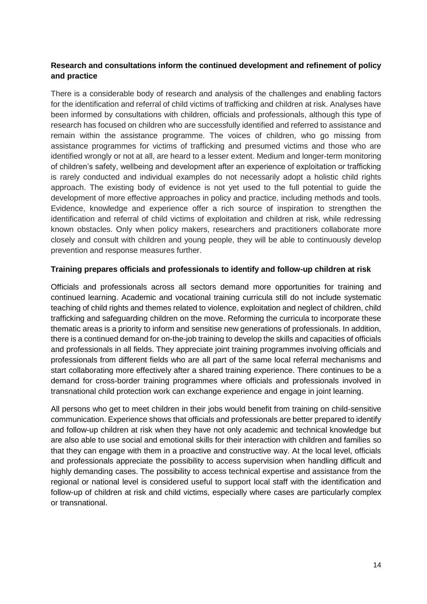#### **Research and consultations inform the continued development and refinement of policy and practice**

There is a considerable body of research and analysis of the challenges and enabling factors for the identification and referral of child victims of trafficking and children at risk. Analyses have been informed by consultations with children, officials and professionals, although this type of research has focused on children who are successfully identified and referred to assistance and remain within the assistance programme. The voices of children, who go missing from assistance programmes for victims of trafficking and presumed victims and those who are identified wrongly or not at all, are heard to a lesser extent. Medium and longer-term monitoring of children's safety, wellbeing and development after an experience of exploitation or trafficking is rarely conducted and individual examples do not necessarily adopt a holistic child rights approach. The existing body of evidence is not yet used to the full potential to guide the development of more effective approaches in policy and practice, including methods and tools. Evidence, knowledge and experience offer a rich source of inspiration to strengthen the identification and referral of child victims of exploitation and children at risk, while redressing known obstacles. Only when policy makers, researchers and practitioners collaborate more closely and consult with children and young people, they will be able to continuously develop prevention and response measures further.

#### **Training prepares officials and professionals to identify and follow-up children at risk**

Officials and professionals across all sectors demand more opportunities for training and continued learning. Academic and vocational training curricula still do not include systematic teaching of child rights and themes related to violence, exploitation and neglect of children, child trafficking and safeguarding children on the move. Reforming the curricula to incorporate these thematic areas is a priority to inform and sensitise new generations of professionals. In addition, there is a continued demand for on-the-job training to develop the skills and capacities of officials and professionals in all fields. They appreciate joint training programmes involving officials and professionals from different fields who are all part of the same local referral mechanisms and start collaborating more effectively after a shared training experience. There continues to be a demand for cross-border training programmes where officials and professionals involved in transnational child protection work can exchange experience and engage in joint learning.

All persons who get to meet children in their jobs would benefit from training on child-sensitive communication. Experience shows that officials and professionals are better prepared to identify and follow-up children at risk when they have not only academic and technical knowledge but are also able to use social and emotional skills for their interaction with children and families so that they can engage with them in a proactive and constructive way. At the local level, officials and professionals appreciate the possibility to access supervision when handling difficult and highly demanding cases. The possibility to access technical expertise and assistance from the regional or national level is considered useful to support local staff with the identification and follow-up of children at risk and child victims, especially where cases are particularly complex or transnational.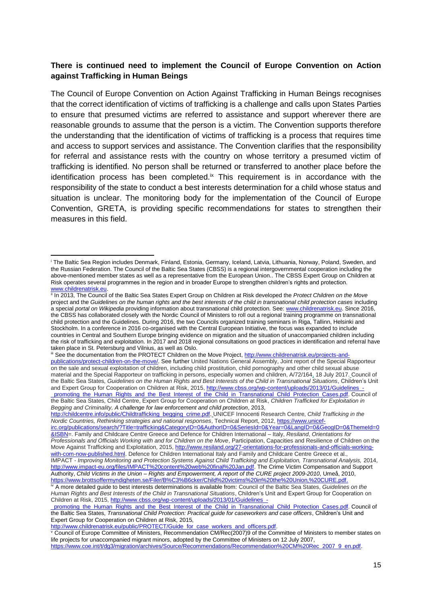#### **There is continued need to implement the Council of Europe Convention on Action against Trafficking in Human Beings**

The Council of Europe Convention on Action Against Trafficking in Human Beings recognises that the correct identification of victims of trafficking is a challenge and calls upon States Parties to ensure that presumed victims are referred to assistance and support wherever there are reasonable grounds to assume that the person is a victim. The Convention supports therefore the understanding that the identification of victims of trafficking is a process that requires time and access to support services and assistance. The Convention clarifies that the responsibility for referral and assistance rests with the country on whose territory a presumed victim of trafficking is identified. No person shall be returned or transferred to another place before the identification process has been completed.<sup>ix</sup> This requirement is in accordance with the responsibility of the state to conduct a best interests determination for a child whose status and situation is unclear. The monitoring body for the implementation of the Council of Europe Convention, GRETA, is providing specific recommendations for states to strengthen their measures in this field.

 $\overline{a}$ 

<sup>i</sup> The Baltic Sea Region includes Denmark, Finland, Estonia, Germany, Iceland, Latvia, Lithuania, Norway, Poland, Sweden, and the Russian Federation. The Council of the Baltic Sea States (CBSS) is a regional intergovernmental cooperation including the above-mentioned member states as well as a representative from the European Union.. The CBSS Expert Group on Children at Risk operates several programmes in the region and in broader Europe to strengthen children's rights and protection. www.childrenatrisk.eu

III In 2013, The Council of the Baltic Sea States Expert Group on Children at Risk developed the *Protect Children on the Move* project and the *Guidelines on the human rights and the best interests of the child in transnational child protection cases* including a special *portal on Wikipedia* providing information about transnational child protection. See[: www.childrenatrisk.eu.](http://www.childrenatrisk.eu/) Since 2016, the CBSS has collaborated closely with the Nordic Council of Ministers to roll out a regional training programme on transnational child protection and the Guidelines. During 2016, the two Councils organized training seminars in Riga, Tallinn, Helsinki and Stockholm. In a conference in 2016 co-organised with the Central European Initiative, the focus was expanded to include countries in Central and Southern Europe bringing evidence on migration and the situation of unaccompanied children including the risk of trafficking and exploitation. In 2017 and 2018 regional consultations on good practices in identification and referral have taken place in St. Petersburg and Vilnius, as well as Oslo.

iii See the documentation from the PROTECT Children on the Move Project[, http://www.childrenatrisk.eu/projects-and](http://www.childrenatrisk.eu/projects-and-publications/protect-children-on-the-move/)[publications/protect-children-on-the-move/.](http://www.childrenatrisk.eu/projects-and-publications/protect-children-on-the-move/) See further United Nations General Assembly, Joint report of the Special Rapporteur on the sale and sexual exploitation of children, including child prostitution, child pornography and other child sexual abuse material and the Special Rapporteur on trafficking in persons, especially women and children, A/72/164, 18 July 2017. Council of the Baltic Sea States, *Guidelines on the Human Rights and Best Interests of the Child in Transnational Situations*, Children's Unit and Expert Group for Cooperation on Children at Risk, 2015, http://www.cbss.org/wp-content/uploads/2013/01/Guidelines promoting\_the\_Human\_Rights\_and\_the\_Best\_Interest\_of\_the\_Child\_in\_Transnational\_Child\_Protection\_Cases.pdf. Council of the Baltic Sea States, Child Centre, Expert Group for Cooperation on Children at Risk, *Children Trafficked for Exploitation in* 

*Begging and Criminality, A challenge for law enforcement and child protection*, 2013, [http://childcentre.info/public/Childtrafficking\\_begging\\_crime.pdf.](http://childcentre.info/public/Childtrafficking_begging_crime.pdf) UNICEF Innocenti Research Centre, *Child Trafficking in the Nordic Countries, Rethinking strategies and national responses*, Technical Report, 2012[, https://www.unicef-](https://www.unicef-irc.org/publications/search/?Title=trafficking&CategoryID=0&AuthorID=0&SeriesId=0&Year=0&LangID=0&GeogID=0&ThemeId=0&ISBN)

[irc.org/publications/search/?Title=trafficking&CategoryID=0&AuthorID=0&SeriesId=0&Year=0&LangID=0&GeogID=0&ThemeId=0](https://www.unicef-irc.org/publications/search/?Title=trafficking&CategoryID=0&AuthorID=0&SeriesId=0&Year=0&LangID=0&GeogID=0&ThemeId=0&ISBN) [&ISBN=](https://www.unicef-irc.org/publications/search/?Title=trafficking&CategoryID=0&AuthorID=0&SeriesId=0&Year=0&LangID=0&GeogID=0&ThemeId=0&ISBN). Family and Childcare Centre Greece and Defence for Children International – Italy, *Resiland*, *Orientations for Professionals and Officials Working with and for Children on the Move*, Participation, Capacities and Resilience of Children on the Move Against Trafficking and Exploitation, 2015[, http://www.resiland.org/27-orientations-for-professionals-and-officials-working](http://www.resiland.org/27-orientations-for-professionals-and-officials-working-with-com-now-published.html)[with-com-now-published.html.](http://www.resiland.org/27-orientations-for-professionals-and-officials-working-with-com-now-published.html) Defence for Children International Italy and Family and Childcare Centre Greece et al., IMPACT *- Improving Monitoring and Protection Systems Against Child Trafficking and Exploitation, Transnational Analysis,* 2014, [http://www.impact-eu.org/files/IMPACT%20content%20web%20final%20Jan.pdf.](http://www.impact-eu.org/files/IMPACT%20content%20web%20final%20Jan.pdf) The Crime Victim Compensation and Support Authority, *Child Victims in the Union – Rights and Empowerment, A report of the CURE project 2009-2010*, Umeå, 2010, [https://www.brottsoffermyndigheten.se/Filer/B%C3%B6cker/Child%20victims%20in%20the%20Union,%20CURE.pdf.](https://www.brottsoffermyndigheten.se/Filer/B%C3%B6cker/Child%20victims%20in%20the%20Union,%20CURE.pdf)

iv A more detailed guide to best interests determinations is available from: Council of the Baltic Sea States, *Guidelines on the Human Rights and Best Interests of the Child in Transnational Situations*, Children's Unit and Expert Group for Cooperation on Children at Risk, 2015, [http://www.cbss.org/wp-content/uploads/2013/01/Guidelines\\_-](http://www.cbss.org/wp-content/uploads/2013/01/Guidelines_-_promoting_the_Human_Rights_and_the_Best_Interest_of_the_Child_in_Transnational_Child_Protection_Cases.pdf)

promoting\_the\_Human\_Rights\_and\_the\_Best\_Interest\_of\_the\_Child\_in\_Transnational\_Child\_Protection\_Cases.pdf. Council of the Baltic Sea States, *Transnational Child Protection: Practical guide for caseworkers and case officers*, Children's Unit and Expert Group for Cooperation on Children at Risk, 2015,

[http://www.childrenatrisk.eu/public/PROTECT/Guide\\_for\\_case\\_workers\\_and\\_officers.pdf.](http://www.childrenatrisk.eu/public/PROTECT/Guide_for_case_workers_and_officers.pdf)

<sup>v</sup> Council of Europe Committee of Ministers, Recommendation CM/Rec(2007)9 of the Committee of Ministers to member states on life projects for unaccompanied migrant minors, adopted by the Committee of Ministers on 12 July 2007, [https://www.coe.int/t/dg3/migration/archives/Source/Recommendations/Recommendation%20CM%20Rec\\_2007\\_9\\_en.pdf.](https://www.coe.int/t/dg3/migration/archives/Source/Recommendations/Recommendation%20CM%20Rec_2007_9_en.pdf)